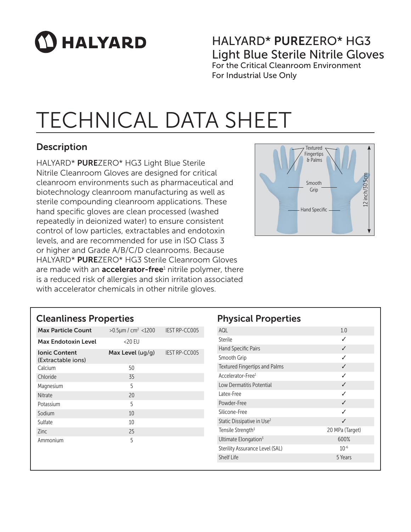# $\mathbf \Omega$  HALYARD

### HALYARD\* PUREZERO\* HG3 Light Blue Sterile Nitrile Gloves For the Critical Cleanroom Environment

For Industrial Use Only

### TECHNICAL DATA SHEET

### **Description**

HALYARD\* PUREZERO\* HG3 Light Blue Sterile Nitrile Cleanroom Gloves are designed for critical cleanroom environments such as pharmaceutical and biotechnology cleanroom manufacturing as well as sterile compounding cleanroom applications. These hand specific gloves are clean processed (washed repeatedly in deionized water) to ensure consistent control of low particles, extractables and endotoxin levels, and are recommended for use in ISO Class 3 or higher and Grade A/B/C/D cleanrooms. Because HALYARD\* PUREZERO\* HG3 Sterile Cleanroom Gloves are made with an **accelerator-free**<sup>1</sup> nitrile polymer, there is a reduced risk of allergies and skin irritation associated with accelerator chemicals in other nitrile gloves.



#### Cleanliness Properties

| <b>Max Particle Count</b>                  | $>0.5 \mu m / cm^2$ <1200 | <b>IEST RP-CC005</b> |
|--------------------------------------------|---------------------------|----------------------|
| <b>Max Endotoxin Level</b>                 | <20 EU                    |                      |
| <b>Ionic Content</b><br>(Extractable ions) | Max Level $( uq/q)$       | <b>IEST RP-CC005</b> |
| Calcium                                    | 50                        |                      |
| Chloride                                   | 35                        |                      |
| Magnesium                                  | 5                         |                      |
| <b>Nitrate</b>                             | 20                        |                      |
| Potassium                                  | 5                         |                      |
| Sodium                                     | 10                        |                      |
| Sulfate                                    | 10                        |                      |
| <b>Zinc</b>                                | 25                        |                      |
| Ammonium                                   | 5                         |                      |
|                                            |                           |                      |
|                                            |                           |                      |

| <b>Physical Properties</b>             |                 |
|----------------------------------------|-----------------|
| AQL                                    | 1.0             |
| Sterile                                | ✓               |
| <b>Hand Specific Pairs</b>             | ✓               |
| Smooth Grip                            | ℐ               |
| Textured Fingertips and Palms          |                 |
| Accelerator-Free <sup>1</sup>          | ℐ               |
| Low Dermatitis Potential               | ✓               |
| Latex-Free                             | ℐ               |
| Powder-Free                            | ℐ               |
| Silicone-Free                          | J               |
| Static Dissipative in Use <sup>2</sup> | J               |
| Tensile Strength <sup>3</sup>          | 20 MPa (Target) |
| Ultimate Elongation <sup>3</sup>       | 600%            |
| Sterility Assurance Level (SAL)        | $10^{-6}$       |
| <b>Shelf Life</b>                      | 5 Years         |
|                                        |                 |